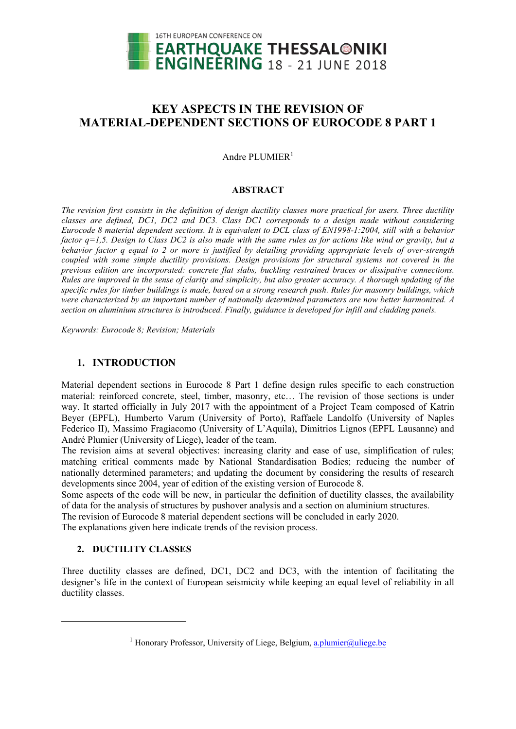

# **KEY ASPECTS IN THE REVISION OF MATERIAL-DEPENDENT SECTIONS OF EUROCODE 8 PART 1**

Andre PLUMIER<sup>1</sup>

## **ABSTRACT**

*The revision first consists in the definition of design ductility classes more practical for users. Three ductility classes are defined, DC1, DC2 and DC3. Class DC1 corresponds to a design made without considering Eurocode 8 material dependent sections. It is equivalent to DCL class of EN1998-1:2004, still with a behavior factor q=1,5. Design to Class DC2 is also made with the same rules as for actions like wind or gravity, but a behavior factor q equal to 2 or more is justified by detailing providing appropriate levels of over-strength coupled with some simple ductility provisions. Design provisions for structural systems not covered in the previous edition are incorporated: concrete flat slabs, buckling restrained braces or dissipative connections. Rules are improved in the sense of clarity and simplicity, but also greater accuracy. A thorough updating of the specific rules for timber buildings is made, based on a strong research push. Rules for masonry buildings, which were characterized by an important number of nationally determined parameters are now better harmonized. A section on aluminium structures is introduced. Finally, guidance is developed for infill and cladding panels.* 

*Keywords: Eurocode 8; Revision; Materials*

## **1. INTRODUCTION**

Material dependent sections in Eurocode 8 Part 1 define design rules specific to each construction material: reinforced concrete, steel, timber, masonry, etc… The revision of those sections is under way. It started officially in July 2017 with the appointment of a Project Team composed of Katrin Beyer (EPFL), Humberto Varum (University of Porto), Raffaele Landolfo (University of Naples Federico II), Massimo Fragiacomo (University of L'Aquila), Dimitrios Lignos (EPFL Lausanne) and André Plumier (University of Liege), leader of the team.

The revision aims at several objectives: increasing clarity and ease of use, simplification of rules; matching critical comments made by National Standardisation Bodies; reducing the number of nationally determined parameters; and updating the document by considering the results of research developments since 2004, year of edition of the existing version of Eurocode 8.

Some aspects of the code will be new, in particular the definition of ductility classes, the availability of data for the analysis of structures by pushover analysis and a section on aluminium structures.

The revision of Eurocode 8 material dependent sections will be concluded in early 2020.

The explanations given here indicate trends of the revision process.

## **2. DUCTILITY CLASSES**

1

Three ductility classes are defined, DC1, DC2 and DC3, with the intention of facilitating the designer's life in the context of European seismicity while keeping an equal level of reliability in all ductility classes.

<sup>&</sup>lt;sup>1</sup> Honorary Professor, University of Liege, Belgium, a.plumier@uliege.be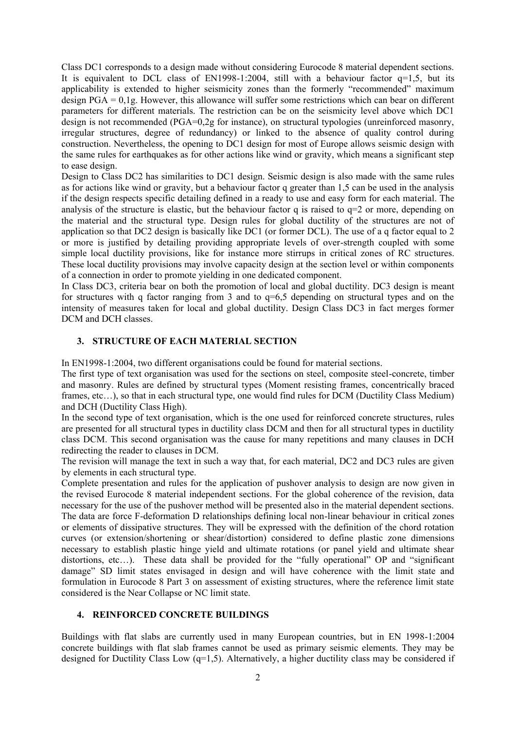Class DC1 corresponds to a design made without considering Eurocode 8 material dependent sections. It is equivalent to DCL class of EN1998-1:2004, still with a behaviour factor  $q=1,5$ , but its applicability is extended to higher seismicity zones than the formerly "recommended" maximum design  $PGA = 0.1g$ . However, this allowance will suffer some restrictions which can bear on different parameters for different materials. The restriction can be on the seismicity level above which DC1 design is not recommended (PGA=0,2g for instance), on structural typologies (unreinforced masonry, irregular structures, degree of redundancy) or linked to the absence of quality control during construction. Nevertheless, the opening to DC1 design for most of Europe allows seismic design with the same rules for earthquakes as for other actions like wind or gravity, which means a significant step to ease design.

Design to Class DC2 has similarities to DC1 design. Seismic design is also made with the same rules as for actions like wind or gravity, but a behaviour factor q greater than 1,5 can be used in the analysis if the design respects specific detailing defined in a ready to use and easy form for each material. The analysis of the structure is elastic, but the behaviour factor q is raised to q=2 or more, depending on the material and the structural type. Design rules for global ductility of the structures are not of application so that DC2 design is basically like DC1 (or former DCL). The use of a q factor equal to 2 or more is justified by detailing providing appropriate levels of over-strength coupled with some simple local ductility provisions, like for instance more stirrups in critical zones of RC structures. These local ductility provisions may involve capacity design at the section level or within components of a connection in order to promote yielding in one dedicated component.

In Class DC3, criteria bear on both the promotion of local and global ductility. DC3 design is meant for structures with q factor ranging from 3 and to  $q=6,5$  depending on structural types and on the intensity of measures taken for local and global ductility. Design Class DC3 in fact merges former DCM and DCH classes.

## **3. STRUCTURE OF EACH MATERIAL SECTION**

In EN1998-1:2004, two different organisations could be found for material sections.

The first type of text organisation was used for the sections on steel, composite steel-concrete, timber and masonry. Rules are defined by structural types (Moment resisting frames, concentrically braced frames, etc…), so that in each structural type, one would find rules for DCM (Ductility Class Medium) and DCH (Ductility Class High).

In the second type of text organisation, which is the one used for reinforced concrete structures, rules are presented for all structural types in ductility class DCM and then for all structural types in ductility class DCM. This second organisation was the cause for many repetitions and many clauses in DCH redirecting the reader to clauses in DCM.

The revision will manage the text in such a way that, for each material, DC2 and DC3 rules are given by elements in each structural type.

Complete presentation and rules for the application of pushover analysis to design are now given in the revised Eurocode 8 material independent sections. For the global coherence of the revision, data necessary for the use of the pushover method will be presented also in the material dependent sections. The data are force F-deformation D relationships defining local non-linear behaviour in critical zones or elements of dissipative structures. They will be expressed with the definition of the chord rotation curves (or extension/shortening or shear/distortion) considered to define plastic zone dimensions necessary to establish plastic hinge yield and ultimate rotations (or panel yield and ultimate shear distortions, etc…). These data shall be provided for the "fully operational" OP and "significant damage" SD limit states envisaged in design and will have coherence with the limit state and formulation in Eurocode 8 Part 3 on assessment of existing structures, where the reference limit state considered is the Near Collapse or NC limit state.

#### **4. REINFORCED CONCRETE BUILDINGS**

Buildings with flat slabs are currently used in many European countries, but in EN 1998-1:2004 concrete buildings with flat slab frames cannot be used as primary seismic elements. They may be designed for Ductility Class Low  $(q=1.5)$ . Alternatively, a higher ductility class may be considered if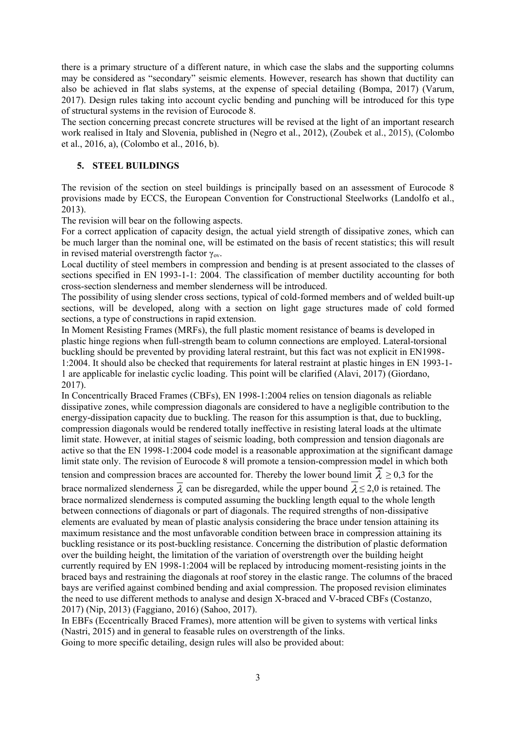there is a primary structure of a different nature, in which case the slabs and the supporting columns may be considered as "secondary" seismic elements. However, research has shown that ductility can also be achieved in flat slabs systems, at the expense of special detailing (Bompa, 2017) (Varum, 2017). Design rules taking into account cyclic bending and punching will be introduced for this type of structural systems in the revision of Eurocode 8.

The section concerning precast concrete structures will be revised at the light of an important research work realised in Italy and Slovenia, published in (Negro et al., 2012), (Zoubek et al., 2015), (Colombo et al., 2016, a), (Colombo et al., 2016, b).

## **5. STEEL BUILDINGS**

The revision of the section on steel buildings is principally based on an assessment of Eurocode 8 provisions made by ECCS, the European Convention for Constructional Steelworks (Landolfo et al., 2013).

The revision will bear on the following aspects.

For a correct application of capacity design, the actual yield strength of dissipative zones, which can be much larger than the nominal one, will be estimated on the basis of recent statistics; this will result in revised material overstrength factor  $\gamma_{ov}$ .

Local ductility of steel members in compression and bending is at present associated to the classes of sections specified in EN 1993-1-1: 2004. The classification of member ductility accounting for both cross-section slenderness and member slenderness will be introduced.

The possibility of using slender cross sections, typical of cold-formed members and of welded built-up sections, will be developed, along with a section on light gage structures made of cold formed sections, a type of constructions in rapid extension.

In Moment Resisting Frames (MRFs), the full plastic moment resistance of beams is developed in plastic hinge regions when full-strength beam to column connections are employed. Lateral-torsional buckling should be prevented by providing lateral restraint, but this fact was not explicit in EN1998- 1:2004. It should also be checked that requirements for lateral restraint at plastic hinges in EN 1993-1- 1 are applicable for inelastic cyclic loading. This point will be clarified (Alavi, 2017) (Giordano, 2017).

In Concentrically Braced Frames (CBFs), EN 1998-1:2004 relies on tension diagonals as reliable dissipative zones, while compression diagonals are considered to have a negligible contribution to the energy-dissipation capacity due to buckling. The reason for this assumption is that, due to buckling, compression diagonals would be rendered totally ineffective in resisting lateral loads at the ultimate limit state. However, at initial stages of seismic loading, both compression and tension diagonals are active so that the EN 1998-1:2004 code model is a reasonable approximation at the significant damage limit state only. The revision of Eurocode 8 will promote a tension-compression model in which both tension and compression braces are accounted for. Thereby the lower bound limit  $\overline{\lambda} \ge 0.3$  for the brace normalized slenderness  $\overline{\lambda}$  can be disregarded, while the upper bound  $\overline{\lambda} \le 2.0$  is retained. The brace normalized slenderness is computed assuming the buckling length equal to the whole length between connections of diagonals or part of diagonals. The required strengths of non-dissipative elements are evaluated by mean of plastic analysis considering the brace under tension attaining its maximum resistance and the most unfavorable condition between brace in compression attaining its buckling resistance or its post-buckling resistance. Concerning the distribution of plastic deformation over the building height, the limitation of the variation of overstrength over the building height currently required by EN 1998-1:2004 will be replaced by introducing moment-resisting joints in the braced bays and restraining the diagonals at roof storey in the elastic range. The columns of the braced bays are verified against combined bending and axial compression. The proposed revision eliminates the need to use different methods to analyse and design X-braced and V-braced CBFs (Costanzo, 2017) (Nip, 2013) (Faggiano, 2016) (Sahoo, 2017).

In EBFs (Eccentrically Braced Frames), more attention will be given to systems with vertical links (Nastri, 2015) and in general to feasable rules on overstrength of the links.

Going to more specific detailing, design rules will also be provided about: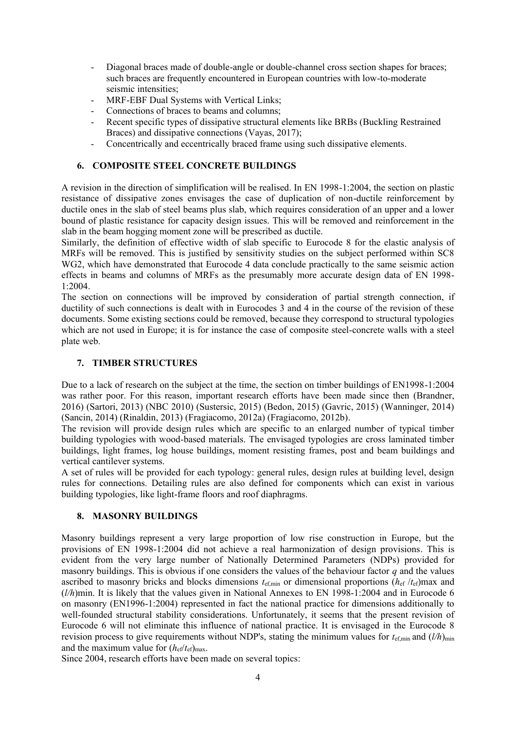- Diagonal braces made of double-angle or double-channel cross section shapes for braces; such braces are frequently encountered in European countries with low-to-moderate seismic intensities;
- MRF-EBF Dual Systems with Vertical Links;
- Connections of braces to beams and columns;
- Recent specific types of dissipative structural elements like BRBs (Buckling Restrained Braces) and dissipative connections (Vayas, 2017);
- Concentrically and eccentrically braced frame using such dissipative elements.

## **6. COMPOSITE STEEL CONCRETE BUILDINGS**

A revision in the direction of simplification will be realised. In EN 1998-1:2004, the section on plastic resistance of dissipative zones envisages the case of duplication of non-ductile reinforcement by ductile ones in the slab of steel beams plus slab, which requires consideration of an upper and a lower bound of plastic resistance for capacity design issues. This will be removed and reinforcement in the slab in the beam hogging moment zone will be prescribed as ductile.

Similarly, the definition of effective width of slab specific to Eurocode 8 for the elastic analysis of MRFs will be removed. This is justified by sensitivity studies on the subject performed within SC8 WG2, which have demonstrated that Eurocode 4 data conclude practically to the same seismic action effects in beams and columns of MRFs as the presumably more accurate design data of EN 1998- 1:2004.

The section on connections will be improved by consideration of partial strength connection, if ductility of such connections is dealt with in Eurocodes 3 and 4 in the course of the revision of these documents. Some existing sections could be removed, because they correspond to structural typologies which are not used in Europe; it is for instance the case of composite steel-concrete walls with a steel plate web.

## **7. TIMBER STRUCTURES**

Due to a lack of research on the subject at the time, the section on timber buildings of EN1998-1:2004 was rather poor. For this reason, important research efforts have been made since then (Brandner, 2016) (Sartori, 2013) (NBC 2010) (Sustersic, 2015) (Bedon, 2015) (Gavric, 2015) (Wanninger, 2014) (Sancin, 2014) (Rinaldin, 2013) (Fragiacomo, 2012a) (Fragiacomo, 2012b).

The revision will provide design rules which are specific to an enlarged number of typical timber building typologies with wood-based materials. The envisaged typologies are cross laminated timber buildings, light frames, log house buildings, moment resisting frames, post and beam buildings and vertical cantilever systems.

A set of rules will be provided for each typology: general rules, design rules at building level, design rules for connections. Detailing rules are also defined for components which can exist in various building typologies, like light‐frame floors and roof diaphragms.

## **8. MASONRY BUILDINGS**

Masonry buildings represent a very large proportion of low rise construction in Europe, but the provisions of EN 1998-1:2004 did not achieve a real harmonization of design provisions. This is evident from the very large number of Nationally Determined Parameters (NDPs) provided for masonry buildings. This is obvious if one considers the values of the behaviour factor *q* and the values ascribed to masonry bricks and blocks dimensions  $t_{\text{ef,min}}$  or dimensional proportions  $(h_{\text{ef}}/t_{\text{ef}})$ max and (*l/h*)min. It is likely that the values given in National Annexes to EN 1998-1:2004 and in Eurocode 6 on masonry (EN1996-1:2004) represented in fact the national practice for dimensions additionally to well-founded structural stability considerations. Unfortunately, it seems that the present revision of Eurocode 6 will not eliminate this influence of national practice. It is envisaged in the Eurocode 8 revision process to give requirements without NDP's, stating the minimum values for  $t_{\text{ef,min}}$  and  $(l/h)_{\text{min}}$ and the maximum value for  $(h_{\rm ef}/t_{\rm ef})_{\rm max}$ .

Since 2004, research efforts have been made on several topics: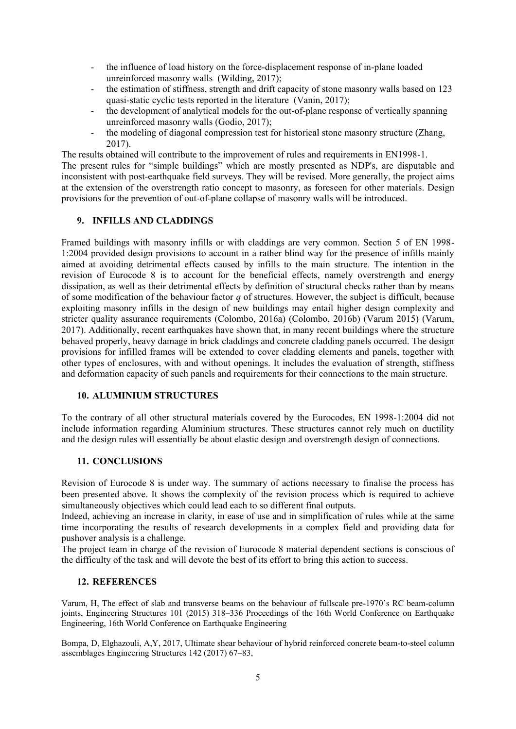- the influence of load history on the force-displacement response of in-plane loaded unreinforced masonry walls (Wilding, 2017);
- the estimation of stiffness, strength and drift capacity of stone masonry walls based on 123 quasi-static cyclic tests reported in the literature (Vanin, 2017);
- the development of analytical models for the out-of-plane response of vertically spanning unreinforced masonry walls (Godio, 2017);
- the modeling of diagonal compression test for historical stone masonry structure (Zhang, 2017).

The results obtained will contribute to the improvement of rules and requirements in EN1998-1.

The present rules for "simple buildings" which are mostly presented as NDP's, are disputable and inconsistent with post-earthquake field surveys. They will be revised. More generally, the project aims at the extension of the overstrength ratio concept to masonry, as foreseen for other materials. Design provisions for the prevention of out-of-plane collapse of masonry walls will be introduced.

## **9. INFILLS AND CLADDINGS**

Framed buildings with masonry infills or with claddings are very common. Section 5 of EN 1998- 1:2004 provided design provisions to account in a rather blind way for the presence of infills mainly aimed at avoiding detrimental effects caused by infills to the main structure. The intention in the revision of Eurocode 8 is to account for the beneficial effects, namely overstrength and energy dissipation, as well as their detrimental effects by definition of structural checks rather than by means of some modification of the behaviour factor *q* of structures. However, the subject is difficult, because exploiting masonry infills in the design of new buildings may entail higher design complexity and stricter quality assurance requirements (Colombo, 2016a) (Colombo, 2016b) (Varum 2015) (Varum, 2017). Additionally, recent earthquakes have shown that, in many recent buildings where the structure behaved properly, heavy damage in brick claddings and concrete cladding panels occurred. The design provisions for infilled frames will be extended to cover cladding elements and panels, together with other types of enclosures, with and without openings. It includes the evaluation of strength, stiffness and deformation capacity of such panels and requirements for their connections to the main structure.

## **10. ALUMINIUM STRUCTURES**

To the contrary of all other structural materials covered by the Eurocodes, EN 1998-1:2004 did not include information regarding Aluminium structures. These structures cannot rely much on ductility and the design rules will essentially be about elastic design and overstrength design of connections.

## **11. CONCLUSIONS**

Revision of Eurocode 8 is under way. The summary of actions necessary to finalise the process has been presented above. It shows the complexity of the revision process which is required to achieve simultaneously objectives which could lead each to so different final outputs.

Indeed, achieving an increase in clarity, in ease of use and in simplification of rules while at the same time incorporating the results of research developments in a complex field and providing data for pushover analysis is a challenge.

The project team in charge of the revision of Eurocode 8 material dependent sections is conscious of the difficulty of the task and will devote the best of its effort to bring this action to success.

## **12. REFERENCES**

Varum, H, The effect of slab and transverse beams on the behaviour of fullscale pre-1970's RC beam-column joints, Engineering Structures 101 (2015) 318–336 Proceedings of the 16th World Conference on Earthquake Engineering, 16th World Conference on Earthquake Engineering

Bompa, D, Elghazouli, A,Y, 2017, Ultimate shear behaviour of hybrid reinforced concrete beam-to-steel column assemblages Engineering Structures 142 (2017) 67–83,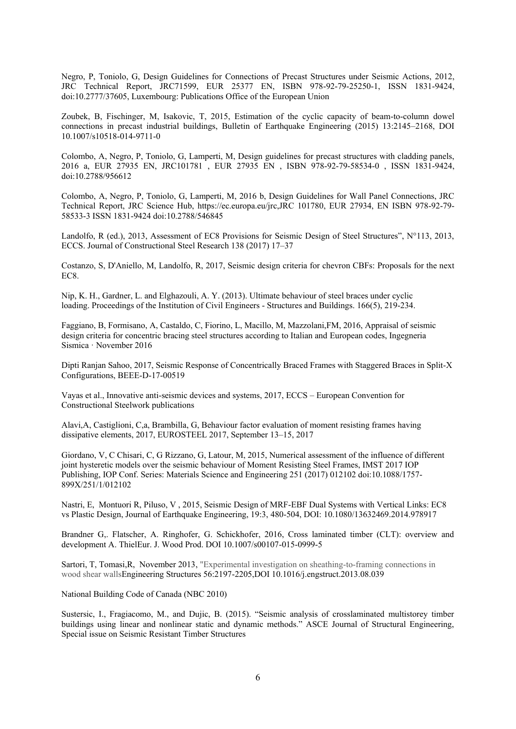Negro, P, Toniolo, G, Design Guidelines for Connections of Precast Structures under Seismic Actions, 2012, JRC Technical Report, JRC71599, EUR 25377 EN, ISBN 978-92-79-25250-1, ISSN 1831-9424, doi:10.2777/37605, Luxembourg: Publications Office of the European Union

Zoubek, B, Fischinger, M, Isakovic, T, 2015, Estimation of the cyclic capacity of beam-to-column dowel connections in precast industrial buildings, Bulletin of Earthquake Engineering (2015) 13:2145–2168, DOI 10.1007/s10518-014-9711-0

Colombo, A, Negro, P, Toniolo, G, Lamperti, M, Design guidelines for precast structures with cladding panels, 2016 a, EUR 27935 EN, JRC101781 , EUR 27935 EN , ISBN 978-92-79-58534-0 , ISSN 1831-9424, doi:10.2788/956612

Colombo, A, Negro, P, Toniolo, G, Lamperti, M, 2016 b, Design Guidelines for Wall Panel Connections, JRC Technical Report, JRC Science Hub, https://ec.europa.eu/jrc,JRC 101780, EUR 27934, EN ISBN 978-92-79- 58533-3 ISSN 1831-9424 doi:10.2788/546845

Landolfo, R (ed.), 2013, Assessment of EC8 Provisions for Seismic Design of Steel Structures", N°113, 2013, ECCS. Journal of Constructional Steel Research 138 (2017) 17–37

Costanzo, S, D'Aniello, M, Landolfo, R, 2017, Seismic design criteria for chevron CBFs: Proposals for the next EC8.

Nip, K. H., Gardner, L. and Elghazouli, A. Y. (2013). Ultimate behaviour of steel braces under cyclic loading. Proceedings of the Institution of Civil Engineers - Structures and Buildings. 166(5), 219-234.

Faggiano, B, Formisano, A, Castaldo, C, Fiorino, L, Macillo, M, Mazzolani,FM, 2016, Appraisal of seismic design criteria for concentric bracing steel structures according to Italian and European codes, Ingegneria Sismica · November 2016

Dipti Ranjan Sahoo, 2017, Seismic Response of Concentrically Braced Frames with Staggered Braces in Split-X Configurations, BEEE-D-17-00519

Vayas et al., Innovative anti-seismic devices and systems, 2017, ECCS – European Convention for Constructional Steelwork publications

Alavi,A, Castiglioni, C,a, Brambilla, G, Behaviour factor evaluation of moment resisting frames having dissipative elements, 2017, EUROSTEEL 2017, September 13–15, 2017

Giordano, V, C Chisari, C, G Rizzano, G, Latour, M, 2015, Numerical assessment of the influence of different joint hysteretic models over the seismic behaviour of Moment Resisting Steel Frames, IMST 2017 IOP Publishing, IOP Conf. Series: Materials Science and Engineering 251 (2017) 012102 doi:10.1088/1757- 899X/251/1/012102

Nastri, E, Montuori R, Piluso, V , 2015, Seismic Design of MRF-EBF Dual Systems with Vertical Links: EC8 vs Plastic Design, Journal of Earthquake Engineering, 19:3, 480-504, DOI: 10.1080/13632469.2014.978917

Brandner G,. Flatscher, A. Ringhofer, G. Schickhofer, 2016, Cross laminated timber (CLT): overview and development A. ThielEur. J. Wood Prod. DOI 10.1007/s00107-015-0999-5

Sartori, T, Tomasi,R, November 2013, "Experimental investigation on sheathing-to-framing connections in wood shear wallsEngineering Structures 56:2197-2205,DOI 10.1016/j.engstruct.2013.08.039

National Building Code of Canada (NBC 2010)

Sustersic, I., Fragiacomo, M., and Dujic, B. (2015). "Seismic analysis of crosslaminated multistorey timber buildings using linear and nonlinear static and dynamic methods." ASCE Journal of Structural Engineering, Special issue on Seismic Resistant Timber Structures